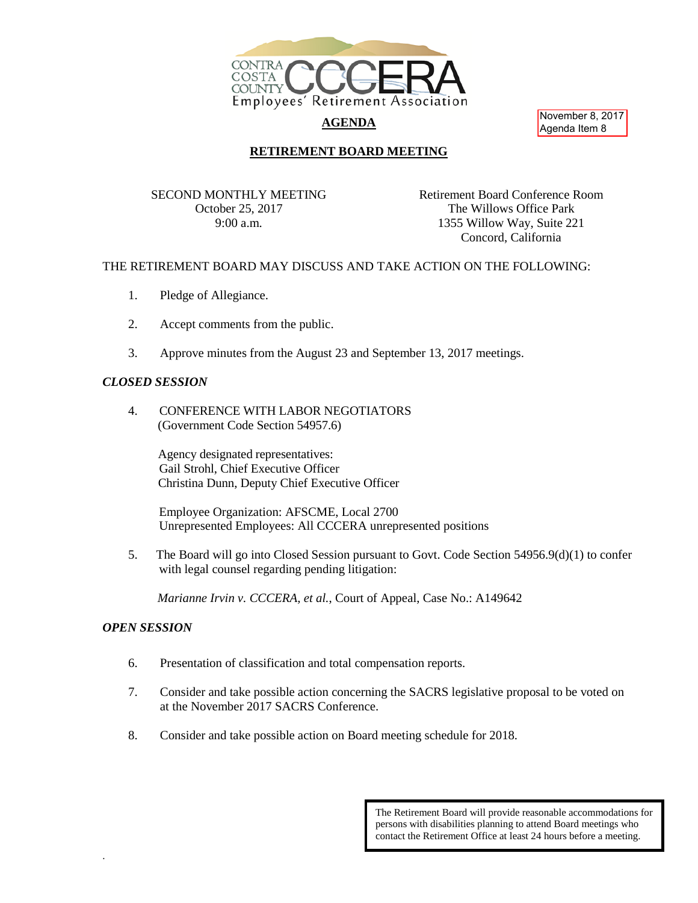

# **AGENDA**

November 8, 2017 Agenda Item 8

### **RETIREMENT BOARD MEETING**

SECOND MONTHLY MEETING October 25, 2017 9:00 a.m.

Retirement Board Conference Room The Willows Office Park 1355 Willow Way, Suite 221 Concord, California

#### THE RETIREMENT BOARD MAY DISCUSS AND TAKE ACTION ON THE FOLLOWING:

- 1. Pledge of Allegiance.
- 2. Accept comments from the public.
- 3. Approve minutes from the August 23 and September 13, 2017 meetings.

#### *CLOSED SESSION*

4. CONFERENCE WITH LABOR NEGOTIATORS (Government Code Section 54957.6)

> Agency designated representatives: Gail Strohl, Chief Executive Officer Christina Dunn, Deputy Chief Executive Officer

Employee Organization: AFSCME, Local 2700 Unrepresented Employees: All CCCERA unrepresented positions

5. The Board will go into Closed Session pursuant to Govt. Code Section 54956.9(d)(1) to confer with legal counsel regarding pending litigation:

*Marianne Irvin v. CCCERA, et al.*, Court of Appeal, Case No.: A149642

## *OPEN SESSION*

.

- 6. Presentation of classification and total compensation reports.
- 7. Consider and take possible action concerning the SACRS legislative proposal to be voted on at the November 2017 SACRS Conference.
- 8. Consider and take possible action on Board meeting schedule for 2018.

The Retirement Board will provide reasonable accommodations for persons with disabilities planning to attend Board meetings who contact the Retirement Office at least 24 hours before a meeting.